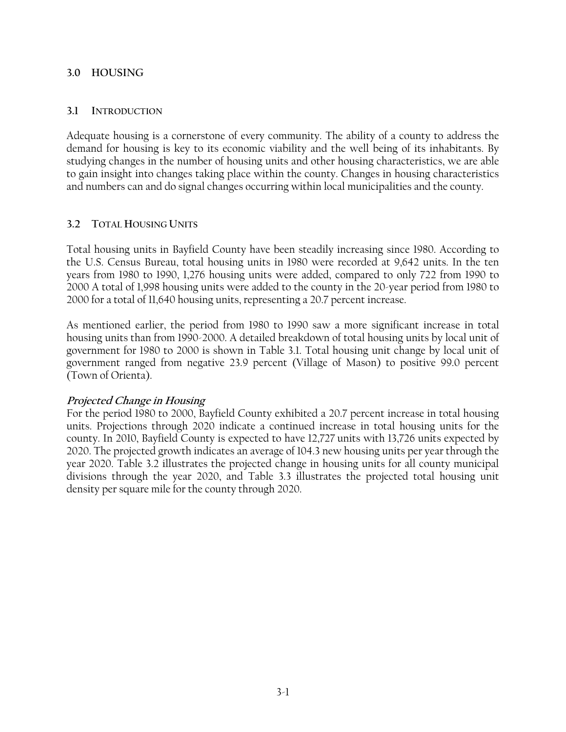### **3.0 HOUSING**

#### **3.1 INTRODUCTION**

Adequate housing is a cornerstone of every community. The ability of a county to address the demand for housing is key to its economic viability and the well being of its inhabitants. By studying changes in the number of housing units and other housing characteristics, we are able to gain insight into changes taking place within the county. Changes in housing characteristics and numbers can and do signal changes occurring within local municipalities and the county.

## **3.2 TOTAL HOUSING UNITS**

Total housing units in Bayfield County have been steadily increasing since 1980. According to the U.S. Census Bureau, total housing units in 1980 were recorded at 9,642 units. In the ten years from 1980 to 1990, 1,276 housing units were added, compared to only 722 from 1990 to 2000 A total of 1,998 housing units were added to the county in the 20-year period from 1980 to 2000 for a total of 11,640 housing units, representing a 20.7 percent increase.

As mentioned earlier, the period from 1980 to 1990 saw a more significant increase in total housing units than from 1990-2000. A detailed breakdown of total housing units by local unit of government for 1980 to 2000 is shown in Table 3.1. Total housing unit change by local unit of government ranged from negative 23.9 percent (Village of Mason) to positive 99.0 percent (Town of Orienta).

### **Projected Change in Housing**

For the period 1980 to 2000, Bayfield County exhibited a 20.7 percent increase in total housing units. Projections through 2020 indicate a continued increase in total housing units for the county. In 2010, Bayfield County is expected to have 12,727 units with 13,726 units expected by 2020. The projected growth indicates an average of 104.3 new housing units per year through the year 2020. Table 3.2 illustrates the projected change in housing units for all county municipal divisions through the year 2020, and Table 3.3 illustrates the projected total housing unit density per square mile for the county through 2020.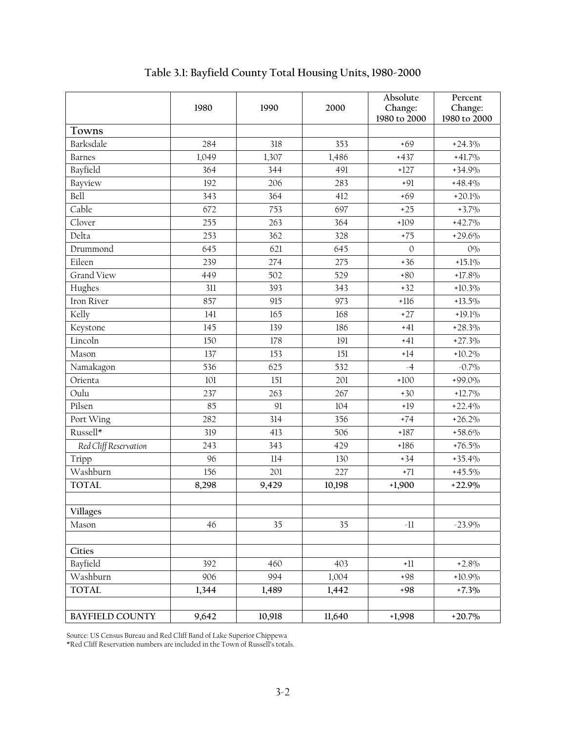|                        | 1980  | 1990   | 2000   | Absolute<br>Change: | Percent<br>Change: |
|------------------------|-------|--------|--------|---------------------|--------------------|
|                        |       |        |        | 1980 to 2000        | 1980 to 2000       |
| Towns                  |       |        |        |                     |                    |
| Barksdale              | 284   | 318    | 353    | $+69$               | $+24.3%$           |
| <b>Barnes</b>          | 1,049 | 1,307  | 1,486  | $+437$              | $+41.7\%$          |
| Bayfield               | 364   | 344    | 491    | $+127$              | $+34.9\%$          |
| Bayview                | 192   | 206    | 283    | $+91$               | $+48.4%$           |
| Bell                   | 343   | 364    | 412    | $+69$               | $+20.1%$           |
| Cable                  | 672   | 753    | 697    | $+25$               | $+3.7\%$           |
| Clover                 | 255   | 263    | 364    | $+109$              | $+42.7%$           |
| Delta                  | 253   | 362    | 328    | $+75$               | $+29.6%$           |
| Drummond               | 645   | 621    | 645    | $\mathbf{0}$        | $0\%$              |
| Eileen                 | 239   | 274    | 275    | $+36$               | $+15.1\%$          |
| <b>Grand View</b>      | 449   | 502    | 529    | $+80$               | $+17.8\%$          |
| Hughes                 | 311   | 393    | 343    | $+32$               | $+10.3\%$          |
| Iron River             | 857   | 915    | 973    | $+116$              | $+13.5\%$          |
| Kelly                  | 141   | 165    | 168    | $+27$               | $+19.1\%$          |
| Keystone               | 145   | 139    | 186    | $+41$               | $+28.3\%$          |
| Lincoln                | 150   | 178    | 191    | $+41$               | $+27.3%$           |
| Mason                  | 137   | 153    | 151    | $+14$               | $+10.2\%$          |
| Namakagon              | 536   | 625    | 532    | $-4$                | $-0.7\%$           |
| Orienta                | 101   | 151    | 201    | $+100$              | $+99.0\%$          |
| Oulu                   | 237   | 263    | 267    | $+30$               | $+12.7\%$          |
| Pilsen                 | 85    | 91     | 104    | $+19$               | $+22.4%$           |
| Port Wing              | 282   | 314    | 356    | $+74$               | $+26.2\%$          |
| Russell*               | 319   | 413    | 506    | $+187$              | $+58.6%$           |
| Red Cliff Reservation  | 243   | 343    | 429    | $+186$              | $+76.5\%$          |
| Tripp                  | 96    | 114    | 130    | $+34$               | $+35.4%$           |
| Washburn               | 156   | 201    | 227    | $+71$               | $+45.5\%$          |
| <b>TOTAL</b>           | 8,298 | 9,429  | 10,198 | $+1,900$            | $+22.9%$           |
|                        |       |        |        |                     |                    |
| <b>Villages</b>        |       |        |        |                     |                    |
| Mason                  | 46    | 35     | 35     | $\cdot \! 1\!1$     | $-23.9\%$          |
| Cities                 |       |        |        |                     |                    |
| Bayfield               | 392   | 460    | 403    | $+11$               | $+2.8%$            |
| Washburn               | 906   | 994    | 1,004  | $+98$               | $+10.9\%$          |
| <b>TOTAL</b>           | 1,344 | 1,489  | 1,442  | $+98$               | $+7.3\%$           |
| <b>BAYFIELD COUNTY</b> | 9,642 | 10,918 | 11,640 | $+1,998$            | $+20.7\%$          |

**Table 3.1: Bayfield County Total Housing Units, 1980-2000** 

Source: US Census Bureau and Red Cliff Band of Lake Superior Chippewa

\*Red Cliff Reservation numbers are included in the Town of Russell's totals.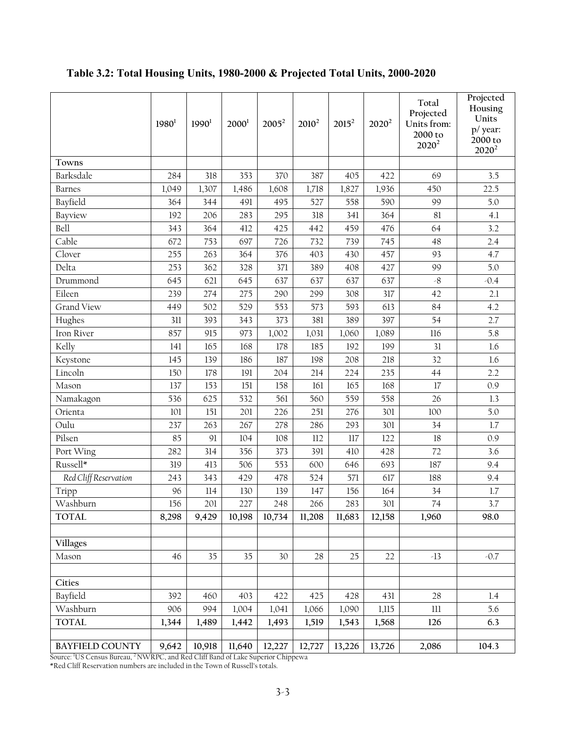|                        | 1980 <sup>1</sup> | 1990 <sup>1</sup> | 2000 <sup>1</sup> | $2005^2$ | $2010^2$ | $2015^2$ | $2020^2$ | Total<br>Projected<br>Units from:<br>2000 to<br>$2020^2$ | Projected<br>Housing<br>Units<br>p/ year:<br>2000 to<br>$2020^2$ |
|------------------------|-------------------|-------------------|-------------------|----------|----------|----------|----------|----------------------------------------------------------|------------------------------------------------------------------|
| Towns                  |                   |                   |                   |          |          |          |          |                                                          |                                                                  |
| Barksdale              | 284               | 318               | 353               | 370      | 387      | 405      | 422      | 69                                                       | 3.5                                                              |
| <b>Barnes</b>          | 1,049             | 1,307             | 1,486             | 1,608    | 1,718    | 1,827    | 1,936    | 450                                                      | 22.5                                                             |
| Bayfield               | 364               | 344               | 491               | 495      | 527      | 558      | 590      | 99                                                       | 5.0                                                              |
| Bayview                | 192               | 206               | 283               | 295      | 318      | 341      | 364      | 81                                                       | 4.1                                                              |
| Bell                   | 343               | 364               | 412               | 425      | 442      | 459      | 476      | 64                                                       | 3.2                                                              |
| Cable                  | 672               | 753               | 697               | 726      | 732      | 739      | 745      | 48                                                       | 2.4                                                              |
| Clover                 | 255               | 263               | 364               | 376      | 403      | 430      | 457      | 93                                                       | 4.7                                                              |
| Delta                  | 253               | 362               | 328               | 371      | 389      | 408      | 427      | 99                                                       | 5.0                                                              |
| Drummond               | 645               | 621               | 645               | 637      | 637      | 637      | 637      | $\mathcal{S}$                                            | $-0.4$                                                           |
| Eileen                 | 239               | 274               | 275               | 290      | 299      | 308      | 317      | 42                                                       | 2.1                                                              |
| Grand View             | 449               | 502               | 529               | 553      | 573      | 593      | 613      | 84                                                       | 4.2                                                              |
| Hughes                 | 311               | 393               | 343               | 373      | 381      | 389      | 397      | 54                                                       | 2.7                                                              |
| Iron River             | 857               | 915               | 973               | 1,002    | 1,031    | 1,060    | 1,089    | 116                                                      | 5.8                                                              |
| Kelly                  | 141               | 165               | 168               | 178      | 185      | 192      | 199      | 31                                                       | 1.6                                                              |
| Keystone               | 145               | 139               | 186               | 187      | 198      | 208      | 218      | 32                                                       | 1.6                                                              |
| Lincoln                | 150               | 178               | 191               | 204      | 214      | 224      | 235      | 44                                                       | 2.2                                                              |
| Mason                  | 137               | 153               | 151               | 158      | 161      | 165      | 168      | 17                                                       | 0.9                                                              |
| Namakagon              | 536               | 625               | 532               | 561      | 560      | 559      | 558      | 26                                                       | 1.3                                                              |
| Orienta                | 101               | 151               | 201               | 226      | 251      | 276      | 301      | 100                                                      | 5.0                                                              |
| Oulu                   | 237               | 263               | 267               | 278      | 286      | 293      | 301      | 34                                                       | 1.7                                                              |
| Pilsen                 | 85                | 91                | 104               | 108      | 112      | 117      | 122      | 18                                                       | 0.9                                                              |
| Port Wing              | 282               | 314               | 356               | 373      | 391      | 410      | 428      | 72                                                       | 3.6                                                              |
| Russell*               | 319               | 413               | 506               | 553      | 600      | 646      | 693      | 187                                                      | 9.4                                                              |
| Red Cliff Reservation  | 243               | 343               | 429               | 478      | 524      | 571      | 617      | 188                                                      | 9.4                                                              |
| Tripp                  | 96                | 114               | 130               | 139      | 147      | 156      | 164      | 34                                                       | 1.7                                                              |
| Washburn               | 156               | 201               | 227               | 248      | 266      | 283      | 301      | 74                                                       | 3.7                                                              |
| <b>TOTAL</b>           | 8,298             | 9,429             | 10,198            | 10,734   | 11,208   | 11,683   | 12,158   | 1,960                                                    | 98.0                                                             |
|                        |                   |                   |                   |          |          |          |          |                                                          |                                                                  |
| <b>Villages</b>        |                   |                   |                   |          |          |          |          |                                                          |                                                                  |
| Mason                  | 46                | 35                | 35                | 30       | 28       | 25       | 22       | $-13$                                                    | $-0.7$                                                           |
|                        |                   |                   |                   |          |          |          |          |                                                          |                                                                  |
| Cities                 |                   |                   |                   |          |          |          |          |                                                          |                                                                  |
| Bayfield               | 392               | 460               | 403               | 422      | 425      | 428      | 431      | 28                                                       | 1.4                                                              |
| Washburn               | 906               | 994               | 1,004             | 1,041    | 1,066    | 1,090    | 1,115    | $111$                                                    | 5.6                                                              |
| <b>TOTAL</b>           | 1,344             | 1,489             | 1,442             | 1,493    | 1,519    | 1,543    | 1,568    | 126                                                      | 6.3                                                              |
|                        |                   |                   |                   |          |          |          |          |                                                          |                                                                  |
| <b>BAYFIELD COUNTY</b> | 9,642             | 10,918            | 11,640            | 12,227   | 12,727   | 13,226   | 13,726   | 2,086                                                    | 104.3                                                            |

# **Table 3.2: Total Housing Units, 1980-2000 & Projected Total Units, 2000-2020**

Source: <sup>1</sup>US Census Bureau, <sup>2</sup> NWRPC, and Red Cliff Band of Lake Superior Chippewa

\*Red Cliff Reservation numbers are included in the Town of Russell's totals.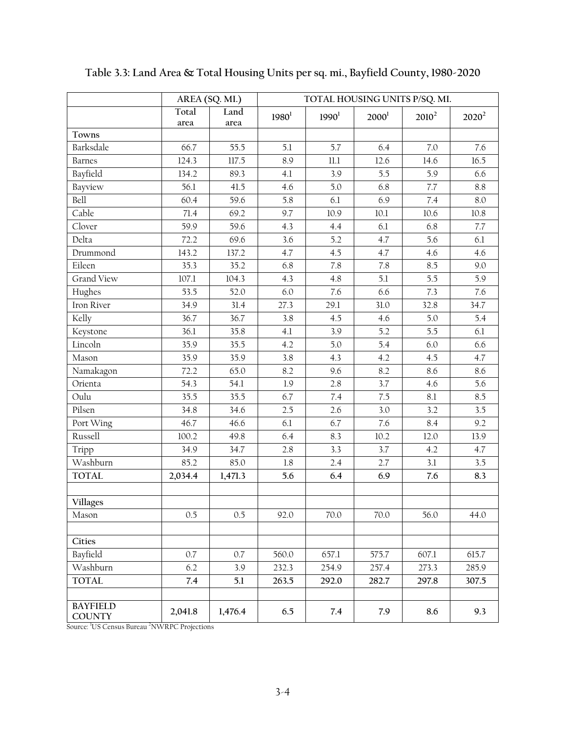|                                  | AREA (SQ. MI.) |         | TOTAL HOUSING UNITS P/SQ. MI. |                   |          |           |          |
|----------------------------------|----------------|---------|-------------------------------|-------------------|----------|-----------|----------|
|                                  | Total          | Land    | $1980^1$                      | 1990 <sup>1</sup> | $2000^1$ | $2010^2$  | $2020^2$ |
|                                  | area           | area    |                               |                   |          |           |          |
| Towns                            |                |         |                               |                   |          |           |          |
| Barksdale                        | 66.7           | 55.5    | 5.1                           | 5.7               | 6.4      | 7.0       | 7.6      |
| <b>Barnes</b>                    | 124.3          | 117.5   | 8.9                           | $11.1\,$          | 12.6     | 14.6      | 16.5     |
| Bayfield                         | 134.2          | 89.3    | 4.1                           | 3.9               | 5.5      | 5.9       | 6.6      |
| Bayview                          | 56.1           | 41.5    | 4.6                           | 5.0               | 6.8      | $7.7\,$   | 8.8      |
| Bell                             | 60.4           | 59.6    | 5.8                           | 6.1               | 6.9      | 7.4       | 8.0      |
| Cable                            | 71.4           | 69.2    | 9.7                           | 10.9              | $10.1\,$ | 10.6      | $10.8\,$ |
| Clover                           | 59.9           | 59.6    | 4.3                           | 4.4               | 6.1      | 6.8       | 7.7      |
| Delta                            | 72.2           | 69.6    | 3.6                           | 5.2               | 4.7      | 5.6       | 6.1      |
| Drummond                         | 143.2          | 137.2   | 4.7                           | 4.5               | 4.7      | 4.6       | 4.6      |
| Eileen                           | 35.3           | 35.2    | 6.8                           | 7.8               | 7.8      | 8.5       | 9.0      |
| <b>Grand View</b>                | 107.1          | 104.3   | 4.3                           | 4.8               | 5.1      | 5.5       | 5.9      |
| Hughes                           | 53.5           | 52.0    | 6.0                           | 7.6               | 6.6      | 7.3       | 7.6      |
| Iron River                       | 34.9           | 31.4    | 27.3                          | 29.1              | 31.0     | 32.8      | 34.7     |
| Kelly                            | 36.7           | 36.7    | 3.8                           | 4.5               | 4.6      | 5.0       | 5.4      |
| Keystone                         | 36.1           | 35.8    | 4.1                           | 3.9               | 5.2      | 5.5       | 6.1      |
| Lincoln                          | 35.9           | 35.5    | 4.2                           | 5.0               | 5.4      | 6.0       | 6.6      |
| Mason                            | 35.9           | 35.9    | 3.8                           | 4.3               | 4.2      | 4.5       | 4.7      |
| Namakagon                        | 72.2           | 65.0    | 8.2                           | 9.6               | 8.2      | 8.6       | 8.6      |
| Orienta                          | 54.3           | 54.1    | 1.9                           | 2.8               | 3.7      | 4.6       | 5.6      |
| Oulu                             | 35.5           | 35.5    | 6.7                           | 7.4               | 7.5      | $\rm 8.1$ | 8.5      |
| Pilsen                           | 34.8           | 34.6    | 2.5                           | 2.6               | 3.0      | 3.2       | 3.5      |
| Port Wing                        | 46.7           | 46.6    | 6.1                           | 6.7               | 7.6      | 8.4       | 9.2      |
| Russell                          | 100.2          | 49.8    | 6.4                           | 8.3               | 10.2     | 12.0      | 13.9     |
| Tripp                            | 34.9           | 34.7    | 2.8                           | 3.3               | 3.7      | 4.2       | 4.7      |
| Washburn                         | 85.2           | 85.0    | $1.8\,$                       | 2.4               | 2.7      | 3.1       | 3.5      |
| <b>TOTAL</b>                     | 2,034.4        | 1,471.3 | 5.6                           | 6.4               | 6.9      | 7.6       | 8.3      |
|                                  |                |         |                               |                   |          |           |          |
| <b>Villages</b>                  |                |         |                               |                   |          |           |          |
| Mason                            | 0.5            | 0.5     | 92.0                          | 70.0              | 70.0     | 56.0      | 44.0     |
|                                  |                |         |                               |                   |          |           |          |
| Cities                           |                |         |                               |                   |          |           |          |
| Bayfield                         | 0.7            | 0.7     | 560.0                         | 657.1             | 575.7    | 607.1     | 615.7    |
| Washburn                         | 6.2            | 3.9     | 232.3                         | 254.9             | 257.4    | 273.3     | 285.9    |
| <b>TOTAL</b>                     | 7.4            | 5.1     | 263.5                         | 292.0             | 282.7    | 297.8     | 307.5    |
|                                  |                |         |                               |                   |          |           |          |
| <b>BAYFIELD</b><br><b>COUNTY</b> | 2,041.8        | 1,476.4 | 6.5                           | 7.4               | 7.9      | 8.6       | 9.3      |

**Table 3.3: Land Area & Total Housing Units per sq. mi., Bayfield County, 1980-2020** 

Source: <sup>1</sup>US Census Bureau <sup>2</sup>NWRPC Projections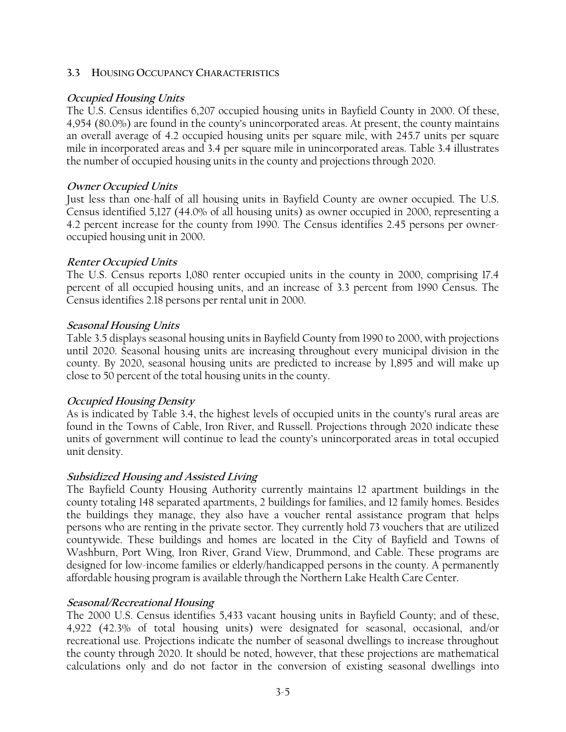### **3.3 HOUSING OCCUPANCY CHARACTERISTICS**

## **Occupied Housing Units**

The U.S. Census identifies 6,207 occupied housing units in Bayfield County in 2000. Of these, 4,954 (80.0%) are found in the county's unincorporated areas. At present, the county maintains an overall average of 4.2 occupied housing units per square mile, with 245.7 units per square mile in incorporated areas and 3.4 per square mile in unincorporated areas. Table 3.4 illustrates the number of occupied housing units in the county and projections through 2020.

### **Owner Occupied Units**

Just less than one-half of all housing units in Bayfield County are owner occupied. The U.S. Census identified 5,127 (44.0% of all housing units) as owner occupied in 2000, representing a 4.2 percent increase for the county from 1990. The Census identifies 2.45 persons per owneroccupied housing unit in 2000.

### **Renter Occupied Units**

The U.S. Census reports 1,080 renter occupied units in the county in 2000, comprising 17.4 percent of all occupied housing units, and an increase of 3.3 percent from 1990 Census. The Census identifies 2.18 persons per rental unit in 2000.

### **Seasonal Housing Units**

Table 3.5 displays seasonal housing units in Bayfield County from 1990 to 2000, with projections until 2020. Seasonal housing units are increasing throughout every municipal division in the county. By 2020, seasonal housing units are predicted to increase by 1,895 and will make up close to 50 percent of the total housing units in the county.

### **Occupied Housing Density**

As is indicated by Table 3.4, the highest levels of occupied units in the county's rural areas are found in the Towns of Cable, Iron River, and Russell. Projections through 2020 indicate these units of government will continue to lead the county's unincorporated areas in total occupied unit density.

### **Subsidized Housing and Assisted Living**

The Bayfield County Housing Authority currently maintains 12 apartment buildings in the county totaling 148 separated apartments, 2 buildings for families, and 12 family homes. Besides the buildings they manage, they also have a voucher rental assistance program that helps persons who are renting in the private sector. They currently hold 73 vouchers that are utilized countywide. These buildings and homes are located in the City of Bayfield and Towns of Washburn, Port Wing, Iron River, Grand View, Drummond, and Cable. These programs are designed for low-income families or elderly/handicapped persons in the county. A permanently affordable housing program is available through the Northern Lake Health Care Center.

### **Seasonal/Recreational Housing**

The 2000 U.S. Census identifies 5,433 vacant housing units in Bayfield County; and of these, 4,922 (42.3% of total housing units) were designated for seasonal, occasional, and/or recreational use. Projections indicate the number of seasonal dwellings to increase throughout the county through 2020. It should be noted, however, that these projections are mathematical calculations only and do not factor in the conversion of existing seasonal dwellings into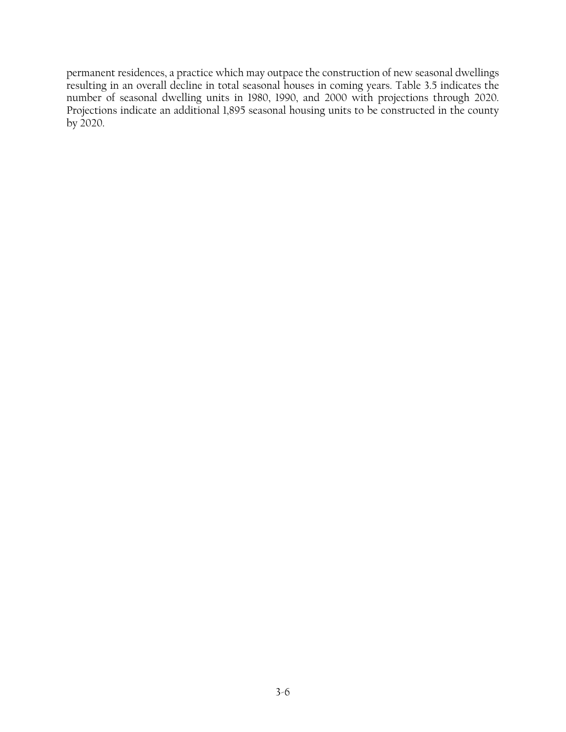permanent residences, a practice which may outpace the construction of new seasonal dwellings resulting in an overall decline in total seasonal houses in coming years. Table 3.5 indicates the number of seasonal dwelling units in 1980, 1990, and 2000 with projections through 2020. Projections indicate an additional 1,895 seasonal housing units to be constructed in the county by 2020.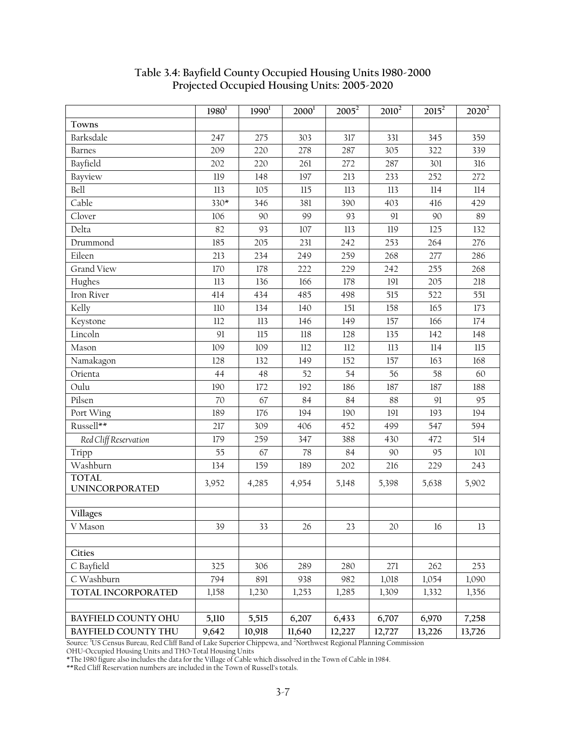|                                       | $1980^1$ | 1990 <sup>1</sup> | $2000^1$ | $2005^2$ | $2010^2$ | $201\overline{5^2}$ | $2020^2$ |
|---------------------------------------|----------|-------------------|----------|----------|----------|---------------------|----------|
| Towns                                 |          |                   |          |          |          |                     |          |
| Barksdale                             | 247      | 275               | 303      | 317      | 331      | 345                 | 359      |
| <b>Barnes</b>                         | 209      | 220               | 278      | 287      | 305      | 322                 | 339      |
| Bayfield                              | 202      | 220               | 261      | 272      | 287      | 301                 | 316      |
| Bayview                               | 119      | 148               | 197      | 213      | 233      | 252                 | 272      |
| Bell                                  | 113      | 105               | 115      | 113      | 113      | 114                 | 114      |
| Cable                                 | $330*$   | 346               | 381      | 390      | 403      | 416                 | 429      |
| Clover                                | 106      | 90                | 99       | 93       | 91       | 90                  | 89       |
| Delta                                 | 82       | 93                | $107\,$  | 113      | 119      | 125                 | 132      |
| Drummond                              | 185      | 205               | 231      | 242      | 253      | 264                 | 276      |
| Eileen                                | 213      | 234               | 249      | 259      | 268      | 277                 | 286      |
| <b>Grand View</b>                     | 170      | 178               | 222      | 229      | 242      | 255                 | 268      |
| Hughes                                | 113      | 136               | 166      | 178      | 191      | 205                 | 218      |
| Iron River                            | 414      | 434               | 485      | 498      | 515      | 522                 | 551      |
| Kelly                                 | $110\,$  | 134               | 140      | 151      | 158      | 165                 | 173      |
| Keystone                              | 112      | $113$             | 146      | 149      | 157      | 166                 | 174      |
| Lincoln                               | 91       | 115               | $118\,$  | 128      | 135      | 142                 | 148      |
| Mason                                 | 109      | 109               | 112      | 112      | 113      | 114                 | 115      |
| Namakagon                             | 128      | 132               | 149      | 152      | 157      | 163                 | 168      |
| Orienta                               | 44       | 48                | 52       | 54       | 56       | 58                  | 60       |
| Oulu                                  | 190      | 172               | 192      | 186      | 187      | 187                 | 188      |
| Pilsen                                | 70       | 67                | 84       | 84       | 88       | 91                  | 95       |
| Port Wing                             | 189      | 176               | 194      | 190      | 191      | 193                 | 194      |
| Russell**                             | 217      | 309               | 406      | 452      | 499      | 547                 | 594      |
| Red Cliff Reservation                 | 179      | 259               | 347      | 388      | 430      | 472                 | 514      |
| Tripp                                 | 55       | 67                | 78       | 84       | 90       | 95                  | 101      |
| Washburn                              | 134      | 159               | 189      | 202      | 216      | 229                 | 243      |
| <b>TOTAL</b><br><b>UNINCORPORATED</b> | 3,952    | 4,285             | 4,954    | 5,148    | 5,398    | 5,638               | 5,902    |
| <b>Villages</b>                       |          |                   |          |          |          |                     |          |
| V Mason                               | 39       | 33                | 26       | 23       | 20       | 16                  | 13       |
|                                       |          |                   |          |          |          |                     |          |
| Cities                                |          |                   |          |          |          |                     |          |
| C Bayfield                            | 325      | 306               | 289      | 280      | 271      | 262                 | 253      |
| C Washburn                            | 794      | 891               | 938      | 982      | 1,018    | 1,054               | 1,090    |
| TOTAL INCORPORATED                    | 1,158    | 1,230             | 1,253    | 1,285    | 1,309    | 1,332               | 1,356    |
|                                       |          |                   |          |          |          |                     |          |
| <b>BAYFIELD COUNTY OHU</b>            | 5,110    | 5,515             | 6,207    | 6,433    | 6,707    | 6,970               | 7,258    |
| <b>BAYFIELD COUNTY THU</b>            | 9,642    | 10,918            | 11,640   | 12,227   | 12,727   | 13,226              | 13,726   |

# **Table 3.4: Bayfield County Occupied Housing Units 1980-2000 Projected Occupied Housing Units: 2005-2020**

Source: <sup>1</sup> US Census Bureau, Red Cliff Band of Lake Superior Chippewa, and 2 Northwest Regional Planning Commission

OHU=Occupied Housing Units and THO=Total Housing Units

\*The 1980 figure also includes the data for the Village of Cable which dissolved in the Town of Cable in 1984.

\*\*Red Cliff Reservation numbers are included in the Town of Russell's totals.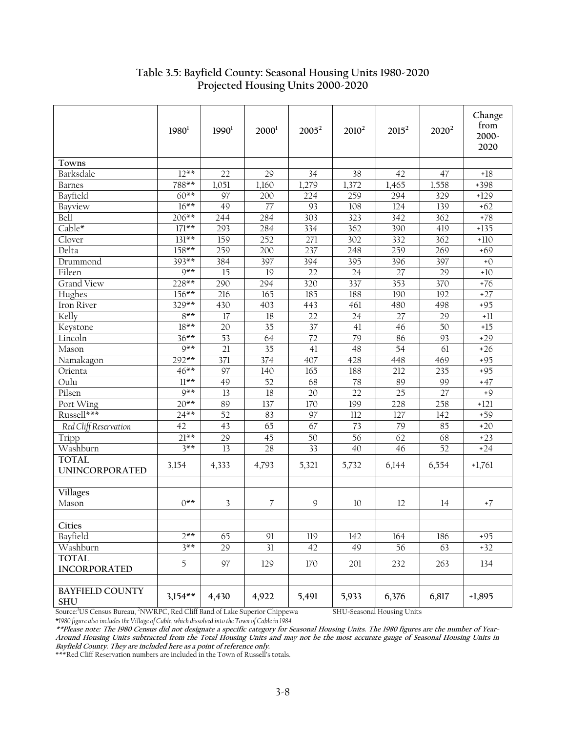|                                       | $1980^1$  | 1990 <sup>1</sup> | 2000 <sup>1</sup> | $2005^2$ | $2010^2$        | $2015^2$ | $2020^2$        | Change<br>from<br>2000-<br>2020 |
|---------------------------------------|-----------|-------------------|-------------------|----------|-----------------|----------|-----------------|---------------------------------|
| Towns                                 |           |                   |                   |          |                 |          |                 |                                 |
| Barksdale                             | $12***$   | 22                | 29                | 34       | 38              | 42       | 47              | $+18$                           |
| <b>Barnes</b>                         | 788**     | 1,051             | 1,160             | 1,279    | 1,372           | 1,465    | 1,558           | +398                            |
| Bayfield                              | $60**$    | 97                | 200               | 224      | 259             | 294      | 329             | $+129$                          |
| Bayview                               | $16***$   | 49                | 77                | 93       | 108             | 124      | 139             | $+62$                           |
| Bell                                  | $206**$   | 244               | 284               | 303      | 323             | 342      | 362             | $+78$                           |
| Cable*                                | $171**$   | 293               | 284               | 334      | 362             | 390      | 419             | $+135$                          |
| Clover                                | $131***$  | 159               | 252               | 271      | 302             | 332      | 362             | $+110$                          |
| Delta                                 | $158**$   | 259               | 200               | 237      | 248             | 259      | 269             | $+69$                           |
| Drummond                              | $393**$   | 384               | 397               | 394      | 395             | 396      | 397             | $+0$                            |
| Eileen                                | $9**$     | 15                | 19                | 22       | 24              | 27       | 29              | $+10$                           |
| Grand View                            | 228**     | 290               | 294               | 320      | 337             | 353      | 370             | $+76$                           |
| Hughes                                | $156***$  | 216               | 165               | 185      | 188             | 190      | 192             | $+27$                           |
| Iron River                            | $329**$   | 430               | 403               | 443      | 461             | 480      | 498             | $+95$                           |
| Kelly                                 | $8***$    | 17                | 18                | 22       | 24              | 27       | 29              | $^{\rm +11}$                    |
| Keystone                              | $18***$   | 20                | 35                | 37       | 41              | 46       | 50              | $+15$                           |
| Lincoln                               | $36***$   | 53                | 64                | 72       | 79              | 86       | 93              | $+29$                           |
| Mason                                 | $9**$     | 21                | 35                | 41       | 48              | 54       | $\overline{61}$ | $+26$                           |
| Namakagon                             | $292**$   | 371               | 374               | 407      | 428             | 448      | 469             | $+95$                           |
| Orienta                               | $46**$    | $\overline{97}$   | 140               | 165      | 188             | 212      | 235             | $+95$                           |
| Oulu                                  | $11***$   | 49                | 52                | 68       | 78              | 89       | 99              | $+47$                           |
| Pilsen                                | $9**$     | 13                | 18                | 20       | $\overline{22}$ | 25       | 27              | $+9$                            |
| Port Wing                             | $20**$    | 89                | 137               | 170      | 199             | 228      | 258             | $+121$                          |
| Russell***                            | $24***$   | $\overline{52}$   | 83                | 97       | 112             | 127      | 142             | $+59$                           |
| Red Cliff Reservation                 | 42        | 43                | 65                | 67       | 73              | 79       | 85              | $+20$                           |
| Tripp                                 | $21***$   | 29                | 45                | 50       | 56              | 62       | 68              | $+23$                           |
| Washburn                              | $3***$    | 13                | 28                | 33       | 40              | 46       | 52              | $+24$                           |
| <b>TOTAL</b><br><b>UNINCORPORATED</b> | 3,154     | 4,333             | 4,793             | 5,321    | 5,732           | 6,144    | 6,554           | $+1,761$                        |
|                                       |           |                   |                   |          |                 |          |                 |                                 |
| <b>Villages</b><br>Mason              | $0***$    | 3                 | 7                 | 9        | 10              | 12       | 14              | $+7$                            |
|                                       |           |                   |                   |          |                 |          |                 |                                 |
| <b>Cities</b>                         |           |                   |                   |          |                 |          |                 |                                 |
| Bayfield                              | $7**$     | 65                | 91                | 119      | 142             | 164      | 186             | $+95$                           |
| Washburn                              | $3**$     | $\overline{29}$   | $\overline{31}$   | 42       | 49              | 56       | 63              | $+32$                           |
| <b>TOTAL</b>                          |           |                   |                   |          |                 |          |                 |                                 |
| <b>INCORPORATED</b>                   | 5         | 97                | 129               | 170      | 201             | 232      | 263             | 134                             |
| <b>BAYFIELD COUNTY</b><br><b>SHU</b>  | $3,154**$ | 4,430             | 4,922             | 5,491    | 5,933           | 6,376    | 6,817           | $+1,895$                        |

# **Table 3.5: Bayfield County: Seasonal Housing Units 1980-2020 Projected Housing Units 2000-2020**

Source:1 US Census Bureau, <sup>2</sup> NWRPC, Red Cliff Band of Lake Superior Chippewa SHU=Seasonal Housing Units *\*1980 figure also includes the Village of Cable, which dissolved into the Town of Cable in 1984* 

**\*\*Please note: The 1980 Census did not designate a specific category for Seasonal Housing Units. The 1980 figures are the number of Year-Around Housing Units subtracted from the Total Housing Units and may not be the most accurate gauge of Seasonal Housing Units in Bayfield County. They are included here as a point of reference only.** 

\*\*\*Red Cliff Reservation numbers are included in the Town of Russell's totals.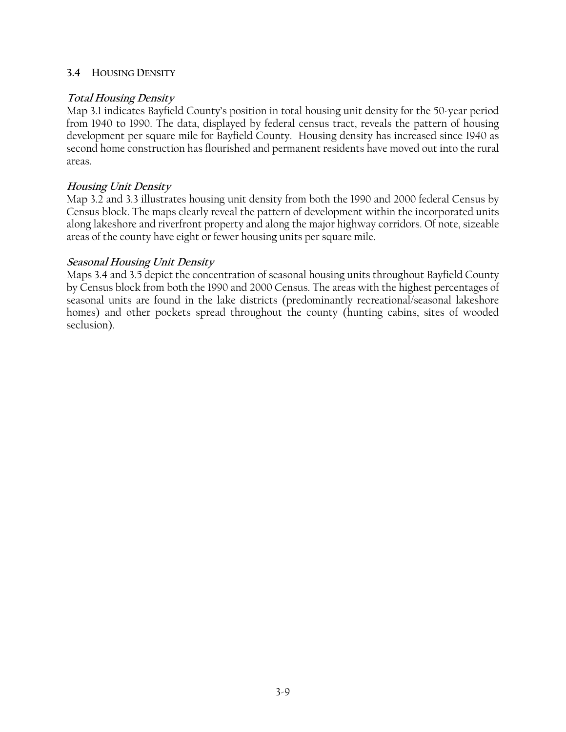### **3.4 HOUSING DENSITY**

## **Total Housing Density**

Map 3.1 indicates Bayfield County's position in total housing unit density for the 50-year period from 1940 to 1990. The data, displayed by federal census tract, reveals the pattern of housing development per square mile for Bayfield County. Housing density has increased since 1940 as second home construction has flourished and permanent residents have moved out into the rural areas.

## **Housing Unit Density**

Map 3.2 and 3.3 illustrates housing unit density from both the 1990 and 2000 federal Census by Census block. The maps clearly reveal the pattern of development within the incorporated units along lakeshore and riverfront property and along the major highway corridors. Of note, sizeable areas of the county have eight or fewer housing units per square mile.

## **Seasonal Housing Unit Density**

Maps 3.4 and 3.5 depict the concentration of seasonal housing units throughout Bayfield County by Census block from both the 1990 and 2000 Census. The areas with the highest percentages of seasonal units are found in the lake districts (predominantly recreational/seasonal lakeshore homes) and other pockets spread throughout the county (hunting cabins, sites of wooded seclusion).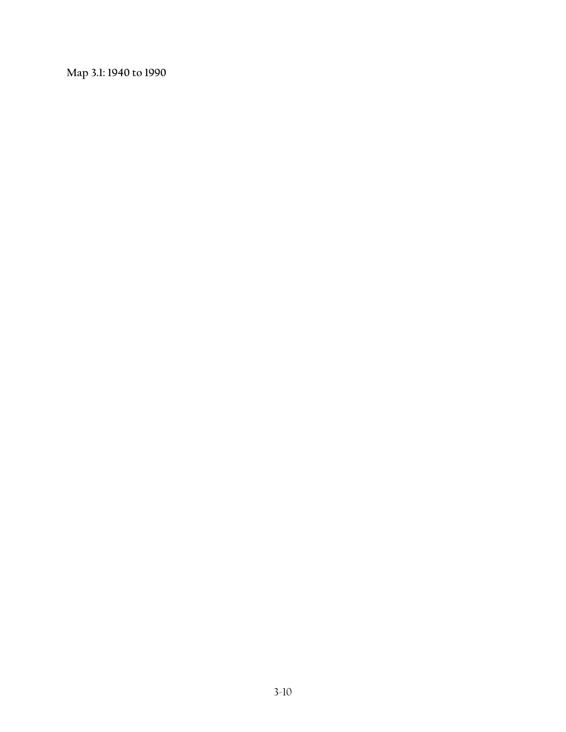**Map 3.1: 1940 to 1990**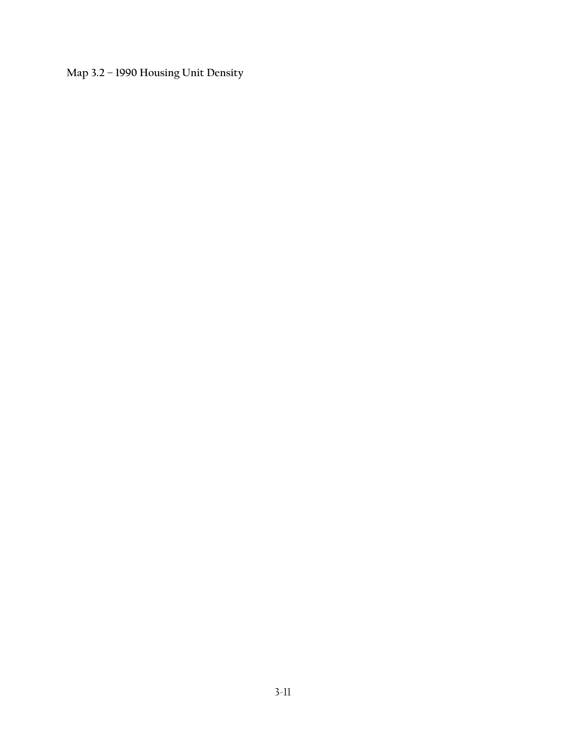**Map 3.2 – 1990 Housing Unit Density**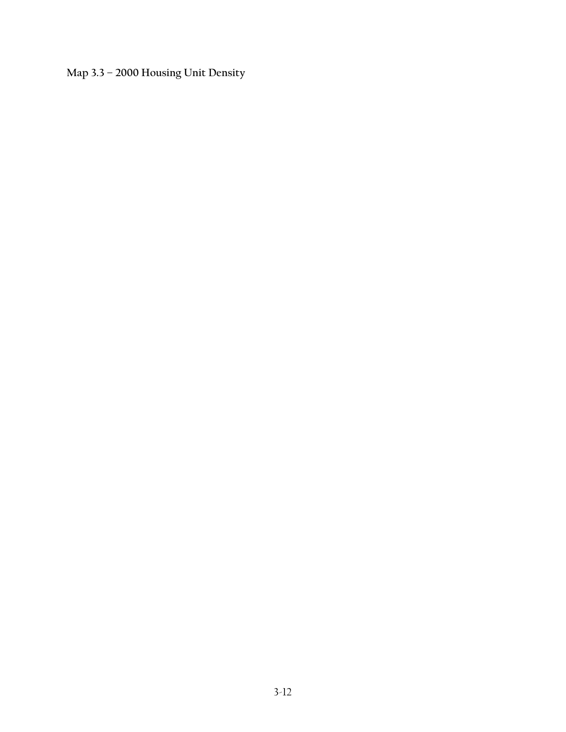**Map 3.3 – 2000 Housing Unit Density**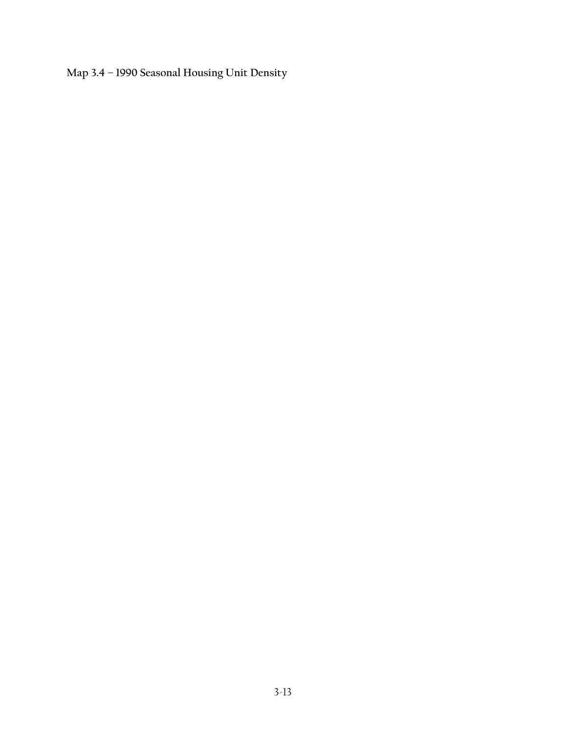**Map 3.4 – 1990 Seasonal Housing Unit Density**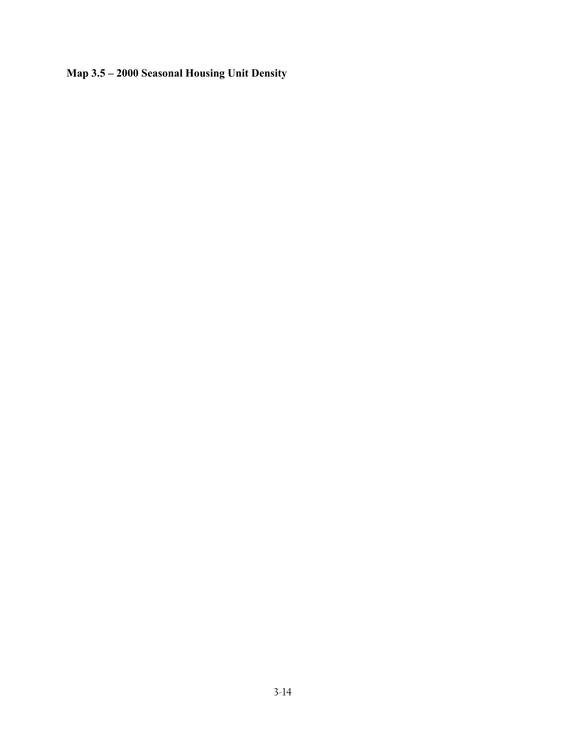# **Map 3.5 – 2000 Seasonal Housing Unit Density**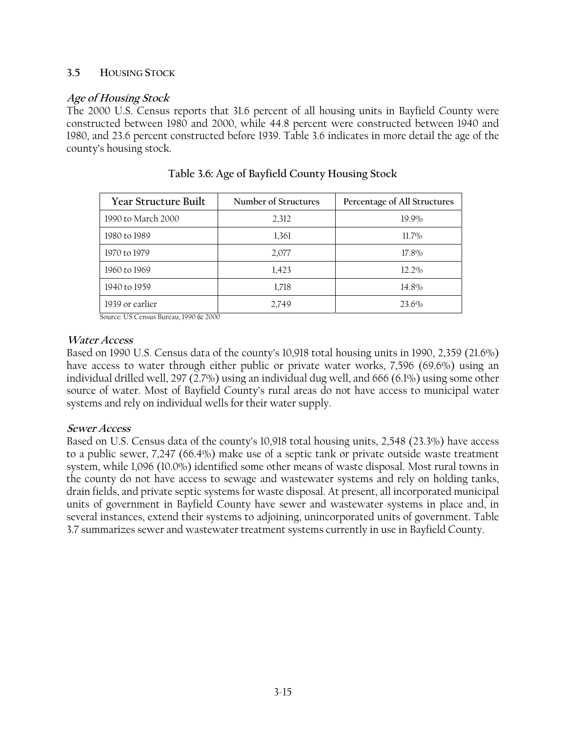### **3.5 HOUSING STOCK**

# **Age of Housing Stock**

The 2000 U.S. Census reports that 31.6 percent of all housing units in Bayfield County were constructed between 1980 and 2000, while 44.8 percent were constructed between 1940 and 1980, and 23.6 percent constructed before 1939. Table 3.6 indicates in more detail the age of the county's housing stock.

| Year Structure Built | Number of Structures | Percentage of All Structures |
|----------------------|----------------------|------------------------------|
| 1990 to March 2000   | 2,312                | 19.9%                        |
| 1980 to 1989         | 1,361                | $11.7\%$                     |
| 1970 to 1979         | 2,077                | 17.8%                        |
| 1960 to 1969         | 1,423                | 12.2%                        |
| 1940 to 1959         | 1,718                | 14.8%                        |
| 1939 or earlier      | 2,749                | 23.6%                        |

|  | Table 3.6: Age of Bayfield County Housing Stock |  |
|--|-------------------------------------------------|--|
|  |                                                 |  |

Source: US Census Bureau, 1990 & 2000

## **Water Access**

Based on 1990 U.S. Census data of the county's 10,918 total housing units in 1990, 2,359 (21.6%) have access to water through either public or private water works, 7,596 (69.6%) using an individual drilled well, 297 (2.7%) using an individual dug well, and 666 (6.1%) using some other source of water. Most of Bayfield County's rural areas do not have access to municipal water systems and rely on individual wells for their water supply.

### **Sewer Access**

Based on U.S. Census data of the county's 10,918 total housing units, 2,548 (23.3%) have access to a public sewer, 7,247 (66.4%) make use of a septic tank or private outside waste treatment system, while 1,096 (10.0%) identified some other means of waste disposal. Most rural towns in the county do not have access to sewage and wastewater systems and rely on holding tanks, drain fields, and private septic systems for waste disposal. At present, all incorporated municipal units of government in Bayfield County have sewer and wastewater systems in place and, in several instances, extend their systems to adjoining, unincorporated units of government. Table 3.7 summarizes sewer and wastewater treatment systems currently in use in Bayfield County.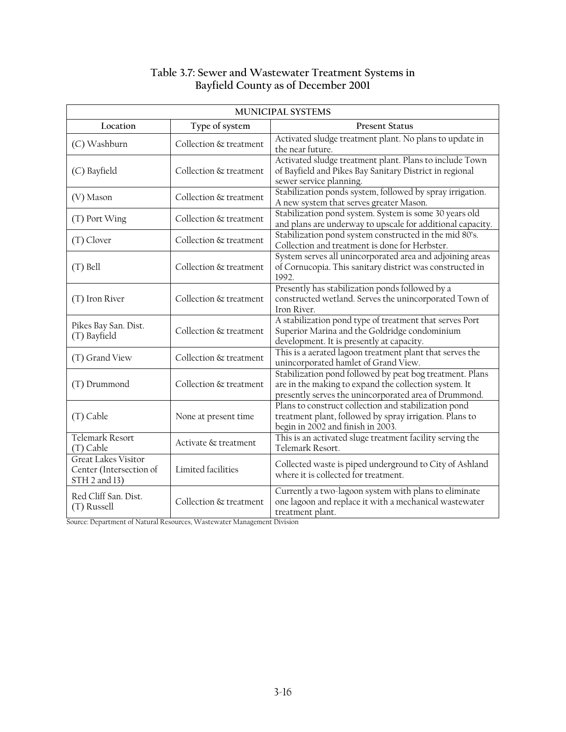# **Table 3.7: Sewer and Wastewater Treatment Systems in Bayfield County as of December 2001**

| MUNICIPAL SYSTEMS                                                      |                        |                                                                                                                                                                            |  |  |  |
|------------------------------------------------------------------------|------------------------|----------------------------------------------------------------------------------------------------------------------------------------------------------------------------|--|--|--|
| Location                                                               | Type of system         | <b>Present Status</b>                                                                                                                                                      |  |  |  |
| (C) Washburn                                                           | Collection & treatment | Activated sludge treatment plant. No plans to update in<br>the near future.                                                                                                |  |  |  |
| (C) Bayfield                                                           | Collection & treatment | Activated sludge treatment plant. Plans to include Town<br>of Bayfield and Pikes Bay Sanitary District in regional<br>sewer service planning.                              |  |  |  |
| (V) Mason                                                              | Collection & treatment | Stabilization ponds system, followed by spray irrigation.<br>A new system that serves greater Mason.                                                                       |  |  |  |
| (T) Port Wing                                                          | Collection & treatment | Stabilization pond system. System is some 30 years old<br>and plans are underway to upscale for additional capacity.                                                       |  |  |  |
| (T) Clover                                                             | Collection & treatment | Stabilization pond system constructed in the mid 80's.<br>Collection and treatment is done for Herbster.                                                                   |  |  |  |
| $(T)$ Bell                                                             | Collection & treatment | System serves all unincorporated area and adjoining areas<br>of Cornucopia. This sanitary district was constructed in<br>1992.                                             |  |  |  |
| (T) Iron River                                                         | Collection & treatment | Presently has stabilization ponds followed by a<br>constructed wetland. Serves the unincorporated Town of<br>Iron River.                                                   |  |  |  |
| Pikes Bay San. Dist.<br>(T) Bayfield                                   | Collection & treatment | A stabilization pond type of treatment that serves Port<br>Superior Marina and the Goldridge condominium<br>development. It is presently at capacity.                      |  |  |  |
| (T) Grand View                                                         | Collection & treatment | This is a aerated lagoon treatment plant that serves the<br>unincorporated hamlet of Grand View.                                                                           |  |  |  |
| (T) Drummond                                                           | Collection & treatment | Stabilization pond followed by peat bog treatment. Plans<br>are in the making to expand the collection system. It<br>presently serves the unincorporated area of Drummond. |  |  |  |
| (T) Cable                                                              | None at present time   | Plans to construct collection and stabilization pond<br>treatment plant, followed by spray irrigation. Plans to<br>begin in 2002 and finish in 2003.                       |  |  |  |
| <b>Telemark Resort</b><br>$(T)$ Cable                                  | Activate & treatment   | This is an activated sluge treatment facility serving the<br>Telemark Resort.                                                                                              |  |  |  |
| <b>Great Lakes Visitor</b><br>Center (Intersection of<br>STH 2 and 13) | Limited facilities     | Collected waste is piped underground to City of Ashland<br>where it is collected for treatment.                                                                            |  |  |  |
| Red Cliff San. Dist.<br>(T) Russell                                    | Collection & treatment | Currently a two-lagoon system with plans to eliminate<br>one lagoon and replace it with a mechanical wastewater<br>treatment plant.                                        |  |  |  |

Source: Department of Natural Resources, Wastewater Management Division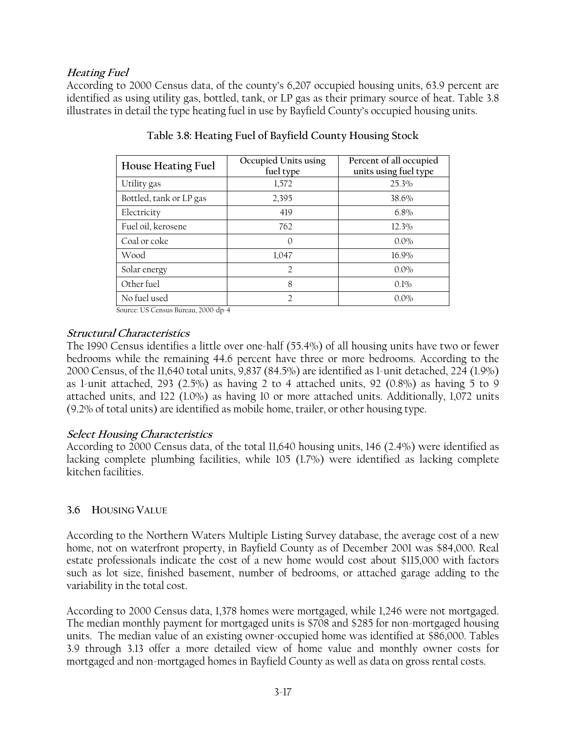# **Heating Fuel**

According to 2000 Census data, of the county's 6,207 occupied housing units, 63.9 percent are identified as using utility gas, bottled, tank, or LP gas as their primary source of heat. Table 3.8 illustrates in detail the type heating fuel in use by Bayfield County's occupied housing units.

| House Heating Fuel      | Occupied Units using<br>fuel type | Percent of all occupied<br>units using fuel type |
|-------------------------|-----------------------------------|--------------------------------------------------|
| Utility gas             | 1,572                             | 25.3%                                            |
| Bottled, tank or LP gas | 2,395                             | 38.6%                                            |
| Electricity             | 419                               | $6.8\%$                                          |
| Fuel oil, kerosene      | 762                               | 12.3%                                            |
| Coal or coke            | $\Omega$                          | $0.0\%$                                          |
| Wood                    | 1,047                             | 16.9%                                            |
| Solar energy            | $\mathcal{D}$                     | $0.0\%$                                          |
| Other fuel              | 8                                 | 0.1%                                             |
| No fuel used            |                                   | $0.0\%$                                          |

|  |  | Table 3.8: Heating Fuel of Bayfield County Housing Stock |
|--|--|----------------------------------------------------------|
|  |  |                                                          |
|  |  |                                                          |

Source: US Census Bureau, 2000-dp-4

## **Structural Characteristics**

The 1990 Census identifies a little over one-half (55.4%) of all housing units have two or fewer bedrooms while the remaining 44.6 percent have three or more bedrooms. According to the 2000 Census, of the 11,640 total units, 9,837 (84.5%) are identified as 1-unit detached, 224 (1.9%) as 1-unit attached, 293 (2.5%) as having 2 to 4 attached units, 92 (0.8%) as having 5 to 9 attached units, and 122 (1.0%) as having 10 or more attached units. Additionally, 1,072 units (9.2% of total units) are identified as mobile home, trailer, or other housing type.

### **Select Housing Characteristics**

According to 2000 Census data, of the total 11,640 housing units, 146 (2.4%) were identified as lacking complete plumbing facilities, while 105 (1.7%) were identified as lacking complete kitchen facilities.

# **3.6 HOUSING VALUE**

According to the Northern Waters Multiple Listing Survey database, the average cost of a new home, not on waterfront property, in Bayfield County as of December 2001 was \$84,000. Real estate professionals indicate the cost of a new home would cost about \$115,000 with factors such as lot size, finished basement, number of bedrooms, or attached garage adding to the variability in the total cost.

According to 2000 Census data, 1,378 homes were mortgaged, while 1,246 were not mortgaged. The median monthly payment for mortgaged units is \$708 and \$285 for non-mortgaged housing units. The median value of an existing owner-occupied home was identified at \$86,000. Tables 3.9 through 3.13 offer a more detailed view of home value and monthly owner costs for mortgaged and non-mortgaged homes in Bayfield County as well as data on gross rental costs.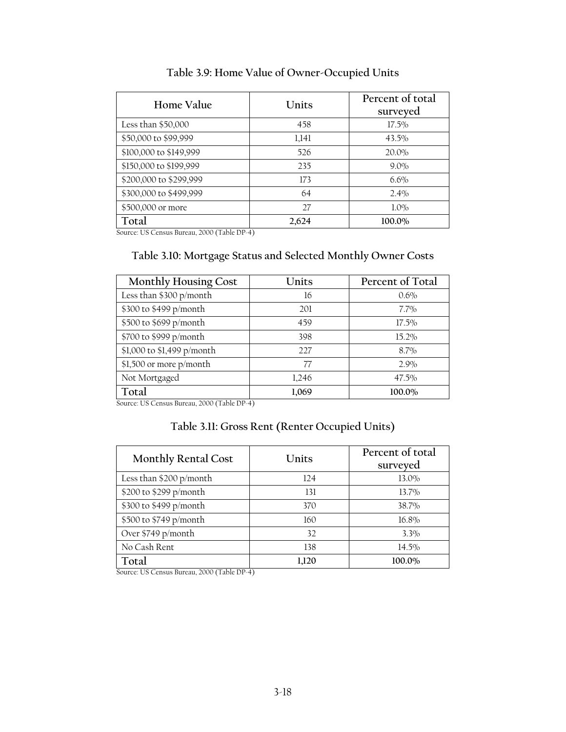| Home Value             | Units | Percent of total<br>surveyed |
|------------------------|-------|------------------------------|
| Less than \$50,000     | 458   | $17.5\%$                     |
| \$50,000 to \$99,999   | 1,141 | 43.5%                        |
| \$100,000 to \$149,999 | 526   | 20.0%                        |
| \$150,000 to \$199,999 | 235   | $9.0\%$                      |
| \$200,000 to \$299,999 | 173   | $6.6\%$                      |
| \$300,000 to \$499,999 | 64    | 2.4%                         |
| \$500,000 or more      | 27    | $1.0\%$                      |
| Total                  | 2,624 | 100.0%                       |

**Table 3.9: Home Value of Owner-Occupied Units** 

Source: US Census Bureau, 2000 (Table DP-4)

# **Table 3.10: Mortgage Status and Selected Monthly Owner Costs**

| <b>Monthly Housing Cost</b> | Units | Percent of Total |
|-----------------------------|-------|------------------|
| Less than \$300 p/month     | 16    | 0.6%             |
| \$300 to \$499 p/month      | 201   | $7.7\%$          |
| \$500 to \$699 p/month      | 459   | $17.5\%$         |
| \$700 to \$999 p/month      | 398   | 15.2%            |
| \$1,000 to \$1,499 p/month  | 227   | 8.7%             |
| \$1,500 or more p/month     | 77    | 2.9%             |
| Not Mortgaged               | 1,246 | 47.5%            |
| Total                       | 1,069 | 100.0%           |

Source: US Census Bureau, 2000 (Table DP-4)

# **Table 3.11: Gross Rent (Renter Occupied Units)**

| <b>Monthly Rental Cost</b> | Units | Percent of total<br>surveyed |
|----------------------------|-------|------------------------------|
| Less than \$200 p/month    | 124   | 13.0%                        |
| \$200 to \$299 p/month     | 131   | $13.7\%$                     |
| \$300 to \$499 p/month     | 370   | 38.7%                        |
| \$500 to \$749 p/month     | 160   | 16.8%                        |
| Over \$749 p/month         | 32    | $3.3\%$                      |
| No Cash Rent               | 138   | 14.5%                        |
| Total                      | 1.120 | 100.0%                       |

Source: US Census Bureau, 2000 (Table DP-4)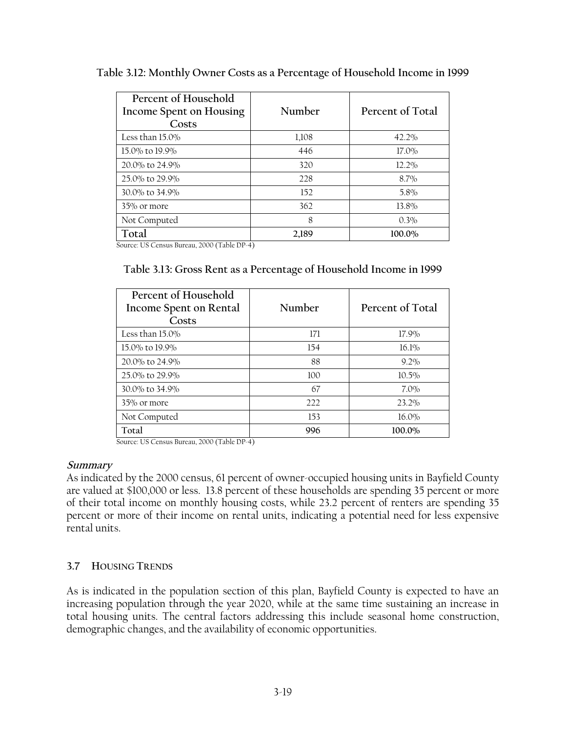| Table 3.12: Monthly Owner Costs as a Percentage of Household Income in 1999 |  |  |  |  |
|-----------------------------------------------------------------------------|--|--|--|--|
| Percent of Household                                                        |  |  |  |  |

| T CILCIIL OF HOUSCHOIG<br>Income Spent on Housing<br>Costs | Number | Percent of Total |
|------------------------------------------------------------|--------|------------------|
| Less than $15.0\%$                                         | 1,108  | 42.2%            |
| 15.0% to 19.9%                                             | 446    | 17.0%            |
| 20.0% to 24.9%                                             | 320    | $12.2\%$         |
| 25.0% to 29.9%                                             | 228    | $8.7\%$          |
| 30.0% to 34.9%                                             | 152    | 5.8%             |
| 35% or more                                                | 362    | 13.8%            |
| Not Computed                                               | 8      | 0.3%             |
| Total                                                      | 2,189  | 100.0%           |

Source: US Census Bureau, 2000 (Table DP-4)

# **Table 3.13: Gross Rent as a Percentage of Household Income in 1999**

| Percent of Household<br>Income Spent on Rental<br>Costs | Number | Percent of Total |
|---------------------------------------------------------|--------|------------------|
| Less than 15.0%                                         | 171    | 17.9%            |
| 15.0% to 19.9%                                          | 154    | 16.1%            |
| 20.0% to 24.9%                                          | 88     | $9.2\%$          |
| 25.0% to 29.9%                                          | 100    | $10.5\%$         |
| 30.0% to 34.9%                                          | 67     | $7.0\%$          |
| 35% or more                                             | 222    | 23.2%            |
| Not Computed                                            | 153    | 16.0%            |
| Total                                                   | 996    | 100.0%           |

Source: US Census Bureau, 2000 (Table DP-4)

# **Summary**

As indicated by the 2000 census, 61 percent of owner-occupied housing units in Bayfield County are valued at \$100,000 or less. 13.8 percent of these households are spending 35 percent or more of their total income on monthly housing costs, while 23.2 percent of renters are spending 35 percent or more of their income on rental units, indicating a potential need for less expensive rental units.

# **3.7 HOUSING TRENDS**

As is indicated in the population section of this plan, Bayfield County is expected to have an increasing population through the year 2020, while at the same time sustaining an increase in total housing units. The central factors addressing this include seasonal home construction, demographic changes, and the availability of economic opportunities.